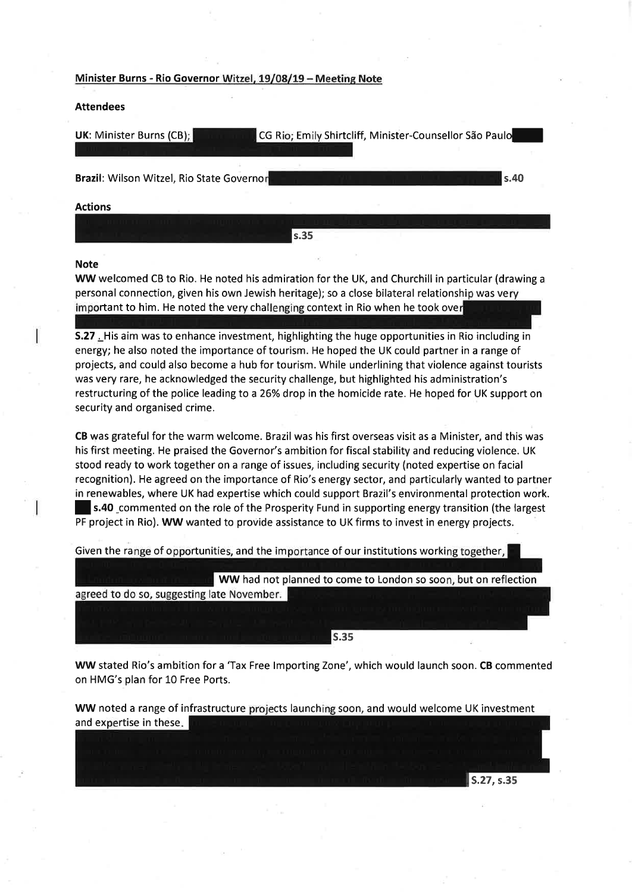## Minister Burns - Rio Governor Witzel, 19/08/19 - Meeting Note

#### Attendees

| <b>UK: Minister Burns (CB);</b>           | CG Rio; Emily Shirtcliff, Minister-Counsellor São Paulo |
|-------------------------------------------|---------------------------------------------------------|
| Brazil: Wilson Witzel, Rio State Governor | s.40                                                    |
| <b>Actions</b>                            |                                                         |
|                                           | s.35                                                    |

#### Note

WW welcomed CB to Rio. He noted his admiration for the UK, and Churchill in particular (drawing <sup>a</sup> personal connection, given his own Jewish heritage); so a close bilateral relationship was very important to him. He noted the very challenging context in Rio when he took over

S.27 . His aim was to enhance investment, highlighting the huge opportunities in Rio including in energy; he also noted the importance of tourism. He hoped the UK could partner in a range of projects, and could also become a hub for tourism. While underlining that violence against tourists was very rare, he acknowledged the security challenge, but highlighted his administration's restructuring of the police leading to a 26% drop in the homicide rate. He hoped for UK support on security and organised crime.

CB was grateful for the warm welcome. Brazil was his first overseas visit as a Minister, and this was his first meeting. He praised the Governor's ambition for fiscal stability and reducing violence. UK stood ready to work together on a range of issues, including security (noted expertise on facial recognition). He agreed on the importance of Rio's energy sector, and particularly wanted to partner in renewables, where UK had expertise which could support Brazil's environmental protection work. **s.40** commented on the role of the Prosperity Fund in supporting energy transition (the largest PF project in Rio). WW wanted to provide assistance to UK firms to invest in energy projects.

Given the range of opportunities, and the importance of our institutions working together,

WW had not planned to come to London so soon, but on reflection agreed to do so, suggesting late November.

s.3s

WW stated Rio's ambition for a 'Tax Free lmporting Zone', which would launch soon. CB commented on HMG's plan for 10 Free Ports.

WW noted a range of infrastructure projects launching soon, and would welcome UK investment and expertise in these.

S.27, s.35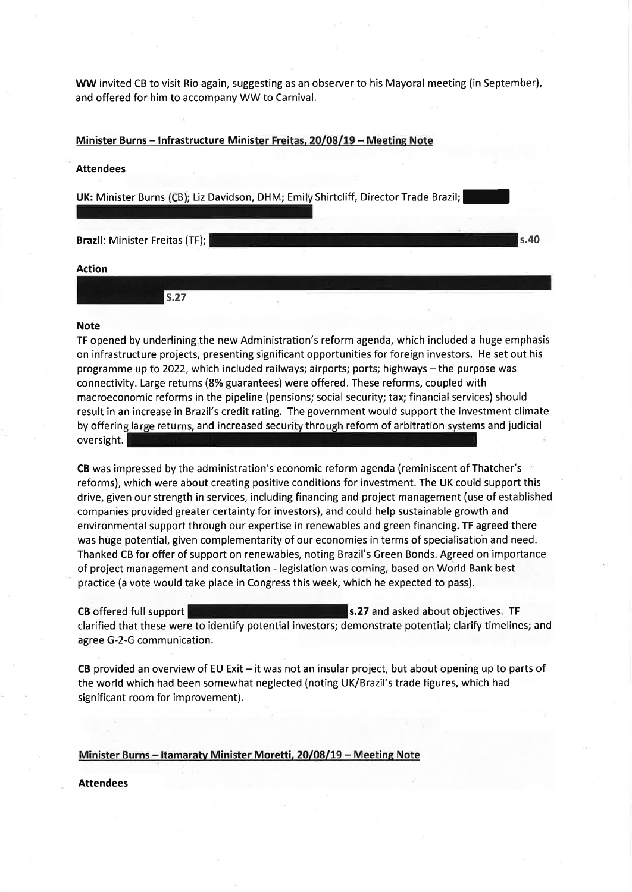WW invited CB to vísit Rio again, suggesting as an observer to his Mayoral meeting (in September), and offered for him to accompany WW to Carnival.

Minister Burns - Infrastructure Minister Freitas, 20/08/19 - Meeting Note

#### Attendees

UK: Minister Burns (CB); Liz Davidson, DHM; Emily Shirtcliff, Director Trade Brazil;

Brazil: Minister Freitas (TF); s.40

# Action

| 3.Z1 | $\sim$ |
|------|--------|

#### Note

TF opened by underlining.the new Administration's reform agenda, which included a huge emphasis on infrastructure projects, presenting significant opportunities for foreign investors. He set out his programme up to 2022, which included railways; airports; ports; highways - the purpose was connectivity. Large returns (8% guarantees) were offered. These reforms, coupled with macroeconomic reforms in the pipeline (pensions; social security; tax; financial services) should result in an increase in Brazil's credit rating. The government would support the investment climate by offering large returns, and increased security through reform of arbitration systems and judicia oversight.

CB was impressed by the administration's economic reform agenda (reminiscent of Thatcher's reforms), which were about creating positive conditions for investment. The UK could support this drive, given our strength in services, including financing and project management (use of established companies provided greater certainty for investors), and could help sustainable growth and environmental support through our expertise in renewables and green financing. TF agreed there was húge potential, given complementarity of our economies in terms of specialisation and need. Thanked CB for offer of support on renewables, noting Brazil's Green Bonds. Agreed on importance of project management and consultation - legislation was coming, based on World Bank best practice (a vote would take place in Congress this week, which he expected to pass).

CB offered full support  $\blacksquare$  s.27 and asked about objectives. TF clarified that these were to identify potential investors; demonstrate potential; clarify timelines; and agree G-2-G communication.

CB provided an overview of EU Exit - it was not an insular project, but about opening up to parts of the world which had been somewhat neglected (noting UK/Brazil's trade figures, which had significant room for improvement).

#### Minister Burns - Itamaraty Minister Moretti, 20/08/19 - Meeting Note

Attendees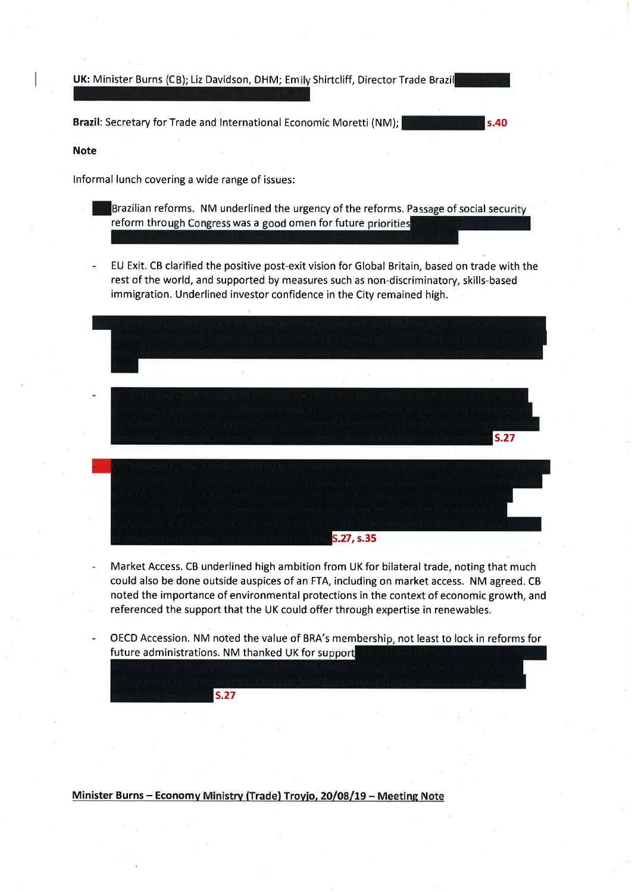UK: Minister Burns (CB); Liz Davidson, DHM; Emily Shirtcliff, Director Trade Brazil

Brazil: Secretary for Trade and lnternational Economic Moretti (NM);

#### Note

lnformal lunch covering a wide range of issues:

Brazilian reforms. NM underlined the urgency of the reforms. Passage of social security reform through Congress was a good omen for future priorities

s.40

EU Exit. CB clarified the positive post-exit vision for Global Britain, based on trade with the rest of the world, and supported by measures such as non-discriminatory, skills-based immigration. Underlined investor confidence in the City remained high.

s.27 S.27, s.35

- Market Access. CB underlined high ambition from UK for bilateral trade, noting that much could also be done outside auspices of an FTA, including on market access. NM agreed. CB noted the importance of environmental protections in the context of economic growth, and referenced the support that the UK could offer through expertise in renewables.
- OECD Accession. NM noted the value of BRA's membership, not least to lock in reforms for future administrations. NM thanked UK for support

Minister Burns - Economy Ministry (Trade) Troyjo, 20/08/19 - Meeting Note

s.27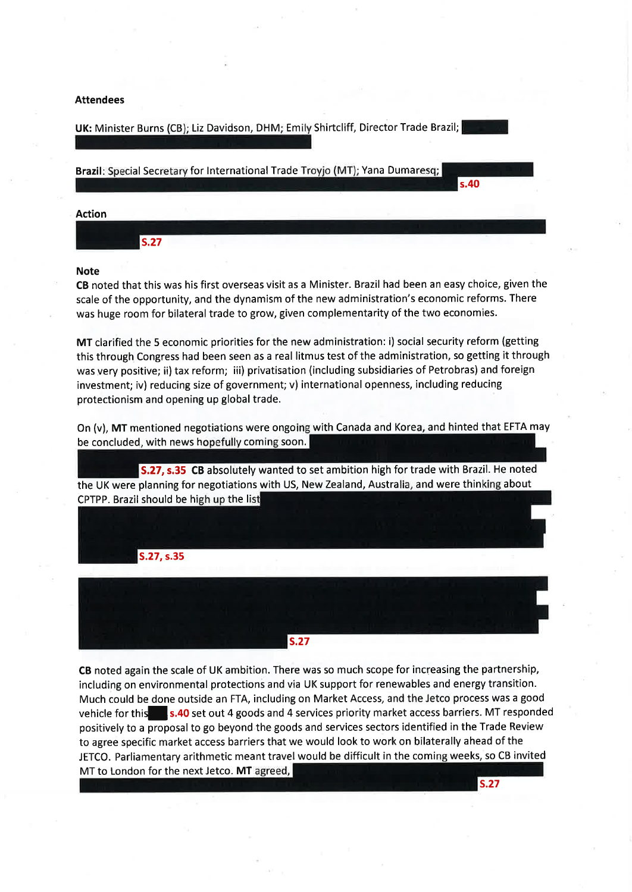#### Attendees

UK: Minister Burns (CB); Liz Davidson, DHM; Emily Shirtcliff, Director Trade Brazil;



# Note

CB noted that this was his first overseas visit as a Minister. Brazil had been an easy choice, given the scale of the opportunity, and the dynamism of the new administration's economic reforms. There was huge room for bilateral trade to grow, given complementarity of the two economies.

MT clarified the 5 economic priorities for the new administration: i) social security reform (getting this through Congress had been seen as a real litmus test of the administration, so getting it through was very positive; ii) tax reform; iii) privatisation (including subsidiaries of Petrobras) and foreign investment; iv) reducing size of government; v) international openness, including reducing protectionism and opening up global trade.

On (v), MT mentioned negotiations were ongoing with Canada and Korea, and hinted that EFTA may be concluded, with news hopefully coming soon.

S.27, s.35 CB absolutely wanted to set ambition high for trade with Brazil. He noted the UK were planning for negotiations with US, New Zealand, Australia, and were thinking about CPTPP. Brazil should be high up the list



CB noted again the scale of UK ambition. There was so much scope for increasing the partnership, including on environmental protections and via UK support for renewables and energy transition. Much could be done outside an FTA, including on Market Access, and the Jetco process was a good vehicle for this s.40 set out 4 goods and 4 services priority market access barriers. MT responded positively to a proposal to go beyond the goods and services sectors identified in the Trade Review to agree specific market access barriers that we would look to work on bilaterally ahead of the JETCO. Parliamentary arithmetic meant travel would be difficult in the coming weeks, so CB invited MT to London for the next Jetco. MT agreed,

s.27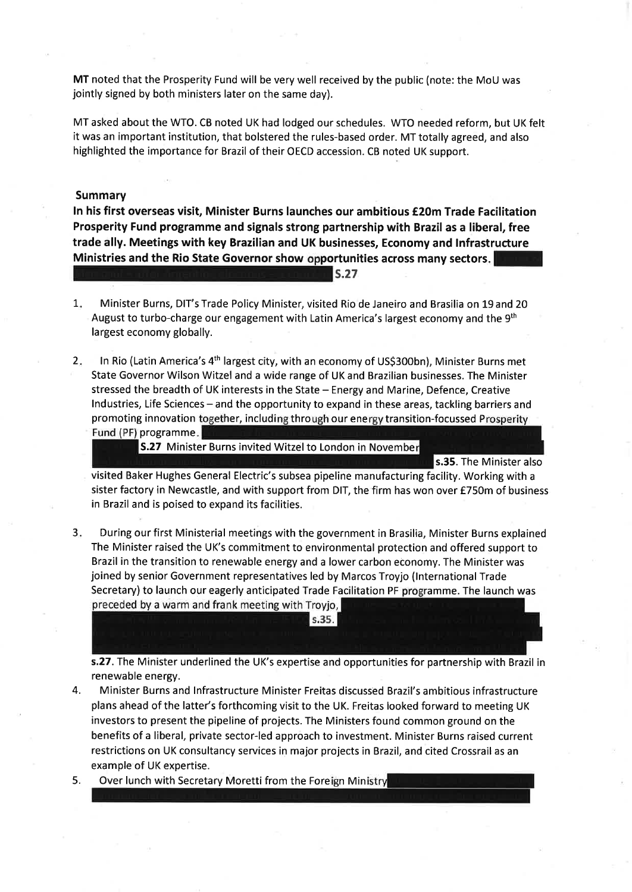MT noted that the Prosperity Fund will be very well received by the public (note: the MoU was jointly signed by both ministers later on the same day).

MT asked about the WTO. CB noted UK had lodged our schedules. WTO needed reform, but UK felt it was an important institution, that bolstered the rules-based order. MT totally agreed, and also highlighted the importance for Brazil of their OECD accession. CB noted UK support.

#### Summary

In his first overseas visit, Minister Burns launches our ambitious €20m Trade Facilitation Prosperity Fund programme and signals strong partnership with Brazil as a liberal, free trade ally. Meetings with key Brazilian and UK businesses, Economy and lnfrastructure Ministries and the Rio State Governor show opportunities across many sectors.

s.27

- 1 Minister Burns, DIT's Trade Policy Minister, visited Rio de Janeiro and Brasilia on L9 and 20 August to turbo-charge our engagement with Latin America's largest economy and the  $9<sup>th</sup>$ largest economy globally.
- 2. In Rio (Latin America's 4<sup>th</sup> largest city, with an economy of US\$300bn), Minister Burns met State Governor Wilson Witzel and a wide range of UK and Brazilian businesses. The Minister stressed the breadth of UK interests in the State - Energy and Marine, Defence, Creative Industries, Life Sciences – and the opportunity to expand in these areas, tackling barriers and promoting innovation together, including through our energy transition-focussed Prosperity Fund (PF) programme.

S.27 Minister Burns invited Witzel to London in November

s.35. The Minister also

visited Baker Hughes General Electric's subsea pipeline manufacturing facility. Working with <sup>a</sup> sister factory in Newcastle, and with support from DIT, the firm has won over £750m of business in Brazil and is poised to expand its facilities.

3. During our first Ministerial meetings with the government in Brasilia, Minister Burns explained The Minister raised the UK's commitment to environmental protection and offered support to Brazil in the transition to renewable energy and a lower carbon economy. The Minister was joined by senior Government representatives led by Marcos Troyjo (lnternational Trade Secretary) to launch our eagerly anticipated Trade Facilitation PF programme. The launch was preceded by a warm and frank meeting with Troyjo,

s.27. The Minister underlined the UK's expertise and opportunities for partnership with Brazil in renewable energy.

 $S.35.$ 

4. Minister Burns and lnfrastructure Minister Freitas discussed Brazil's ambitious infrastructure plans ahead of the latter's forthcoming visit to the UK. Freitas looked forward to meeting UK investors to present the pipeline of projects. The Ministers found common ground on the benefits of a liberal, private sector-led approach to investment. Minister Burns raised current restrictions on UK consultancy services in major projects in Brazil, and cited Crossrail as an example of UK expertise.

5. Over lunch with Secretary Moretti from the Foreign Ministry